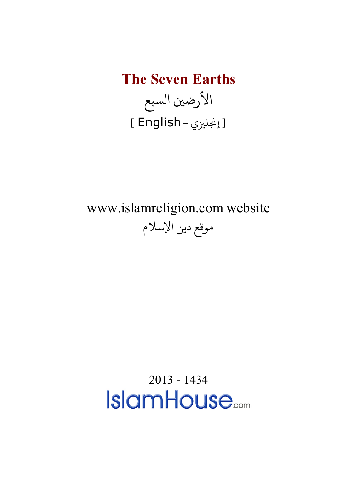**The Seven Earths** الأرضين السبع [ إنجليزي - English ]

www.islamreligion.com website موقع دين الإسلام

2013 - 1434<br>**IslamHouse**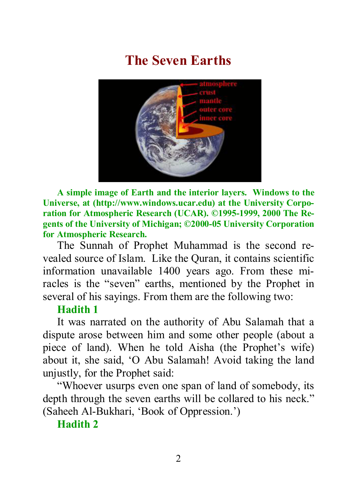# **The Seven Earths**



**A simple image of Earth and the interior layers. Windows to the Universe, at (http://www.windows.ucar.edu) at the University Corporation for Atmospheric Research (UCAR). ©1995-1999, 2000 The Regents of the University of Michigan; ©2000-05 University Corporation for Atmospheric Research.**

The Sunnah of Prophet Muhammad is the second revealed source of Islam. Like the Quran, it contains scientific information unavailable 1400 years ago. From these miracles is the "seven" earths, mentioned by the Prophet in several of his sayings. From them are the following two:

#### **Hadith 1**

It was narrated on the authority of Abu Salamah that a dispute arose between him and some other people (about a piece of land). When he told Aisha (the Prophet's wife) about it, she said, 'O Abu Salamah! Avoid taking the land unjustly, for the Prophet said:

"Whoever usurps even one span of land of somebody, its depth through the seven earths will be collared to his neck." (Saheeh Al-Bukhari, 'Book of Oppression.')

**Hadith 2**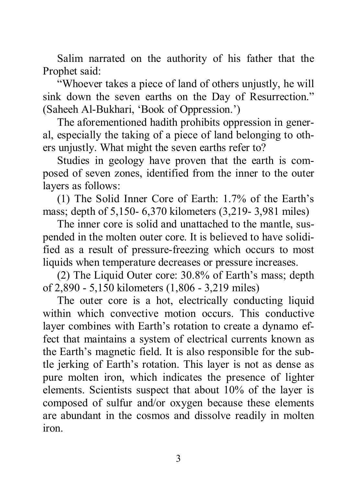Salim narrated on the authority of his father that the Prophet said:

"Whoever takes a piece of land of others unjustly, he will sink down the seven earths on the Day of Resurrection." (Saheeh Al-Bukhari, 'Book of Oppression.')

The aforementioned hadith prohibits oppression in general, especially the taking of a piece of land belonging to others unjustly. What might the seven earths refer to?

Studies in geology have proven that the earth is composed of seven zones, identified from the inner to the outer layers as follows:

(1) The Solid Inner Core of Earth: 1.7% of the Earth's mass; depth of 5,150- 6,370 kilometers (3,219- 3,981 miles)

The inner core is solid and unattached to the mantle, suspended in the molten outer core. It is believed to have solidified as a result of pressure-freezing which occurs to most liquids when temperature decreases or pressure increases.

(2) The Liquid Outer core: 30.8% of Earth's mass; depth of 2,890 - 5,150 kilometers (1,806 - 3,219 miles)

The outer core is a hot, electrically conducting liquid within which convective motion occurs. This conductive layer combines with Earth's rotation to create a dynamo effect that maintains a system of electrical currents known as the Earth's magnetic field. It is also responsible for the subtle jerking of Earth's rotation. This layer is not as dense as pure molten iron, which indicates the presence of lighter elements. Scientists suspect that about 10% of the layer is composed of sulfur and/or oxygen because these elements are abundant in the cosmos and dissolve readily in molten iron.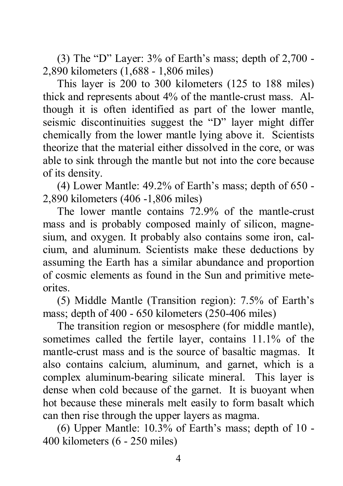(3) The "D" Layer:  $3\%$  of Earth's mass; depth of  $2,700$  -2,890 kilometers (1,688 - 1,806 miles)

This layer is 200 to 300 kilometers (125 to 188 miles) thick and represents about 4% of the mantle-crust mass. Although it is often identified as part of the lower mantle, seismic discontinuities suggest the "D" layer might differ chemically from the lower mantle lying above it. Scientists theorize that the material either dissolved in the core, or was able to sink through the mantle but not into the core because of its density.

(4) Lower Mantle: 49.2% of Earth's mass; depth of 650 - 2,890 kilometers (406 -1,806 miles)

The lower mantle contains 72.9% of the mantle-crust mass and is probably composed mainly of silicon, magnesium, and oxygen. It probably also contains some iron, calcium, and aluminum. Scientists make these deductions by assuming the Earth has a similar abundance and proportion of cosmic elements as found in the Sun and primitive meteorites.

(5) Middle Mantle (Transition region): 7.5% of Earth's mass; depth of 400 - 650 kilometers (250-406 miles)

The transition region or mesosphere (for middle mantle), sometimes called the fertile layer, contains 11.1% of the mantle-crust mass and is the source of basaltic magmas. It also contains calcium, aluminum, and garnet, which is a complex aluminum-bearing silicate mineral. This layer is dense when cold because of the garnet. It is buoyant when hot because these minerals melt easily to form basalt which can then rise through the upper layers as magma.

(6) Upper Mantle: 10.3% of Earth's mass; depth of 10 - 400 kilometers (6 - 250 miles)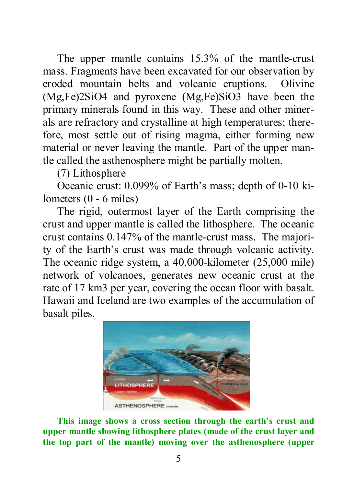The upper mantle contains 15.3% of the mantle-crust mass. Fragments have been excavated for our observation by eroded mountain belts and volcanic eruptions. Olivine (Mg,Fe)2SiO4 and pyroxene (Mg,Fe)SiO3 have been the primary minerals found in this way. These and other minerals are refractory and crystalline at high temperatures; therefore, most settle out of rising magma, either forming new material or never leaving the mantle. Part of the upper mantle called the asthenosphere might be partially molten.

(7) Lithosphere

Oceanic crust: 0.099% of Earth's mass; depth of 0-10 kilometers (0 - 6 miles)

The rigid, outermost layer of the Earth comprising the crust and upper mantle is called the lithosphere. The oceanic crust contains 0.147% of the mantle-crust mass. The majority of the Earth's crust was made through volcanic activity. The oceanic ridge system, a 40,000-kilometer (25,000 mile) network of volcanoes, generates new oceanic crust at the rate of 17 km3 per year, covering the ocean floor with basalt. Hawaii and Iceland are two examples of the accumulation of basalt piles.



**This image shows a cross section through the earth's crust and upper mantle showing lithosphere plates (made of the crust layer and the top part of the mantle) moving over the asthenosphere (upper**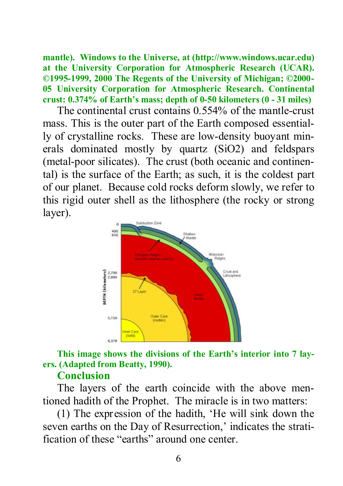**mantle). Windows to the Universe, at (http://www.windows.ucar.edu) at the University Corporation for Atmospheric Research (UCAR). ©1995-1999, 2000 The Regents of the University of Michigan; ©2000- 05 University Corporation for Atmospheric Research. Continental crust: 0.374% of Earth's mass; depth of 0-50 kilometers (0 - 31 miles)**

The continental crust contains 0.554% of the mantle-crust mass. This is the outer part of the Earth composed essentially of crystalline rocks. These are low-density buoyant minerals dominated mostly by quartz (SiO2) and feldspars (metal-poor silicates). The crust (both oceanic and continental) is the surface of the Earth; as such, it is the coldest part of our planet. Because cold rocks deform slowly, we refer to this rigid outer shell as the lithosphere (the rocky or strong layer).



## **This image shows the divisions of the Earth's interior into 7 layers. (Adapted from Beatty, 1990).**

### **Conclusion**

The layers of the earth coincide with the above mentioned hadith of the Prophet. The miracle is in two matters:

(1) The expression of the hadith, 'He will sink down the seven earths on the Day of Resurrection,' indicates the stratification of these "earths" around one center.